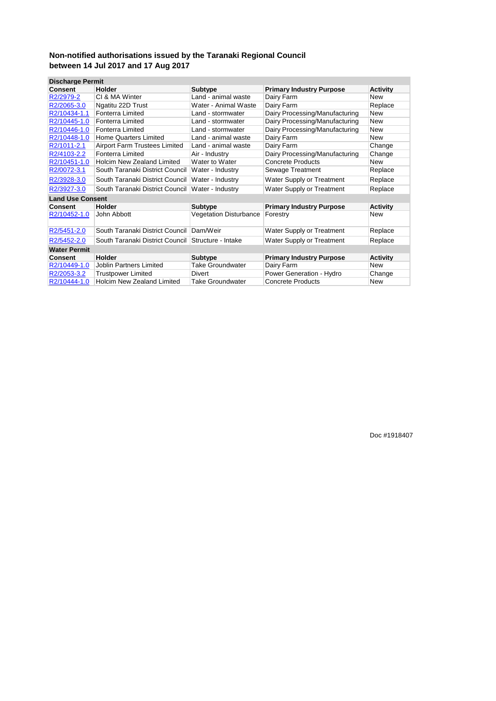| <b>Discharge Permit</b> |                                      |                               |                                 |                 |
|-------------------------|--------------------------------------|-------------------------------|---------------------------------|-----------------|
| Consent                 | Holder                               | <b>Subtype</b>                | <b>Primary Industry Purpose</b> | <b>Activity</b> |
| R2/2979-2               | CI & MA Winter                       | Land - animal waste           | Dairy Farm                      | New             |
| R2/2065-3.0             | Ngatitu 22D Trust                    | Water - Animal Waste          | Dairy Farm                      | Replace         |
| R2/10434-1.1            | <b>Fonterra Limited</b>              | Land - stormwater             | Dairy Processing/Manufacturing  | <b>New</b>      |
| R2/10445-1.0            | <b>Fonterra Limited</b>              | Land - stormwater             | Dairy Processing/Manufacturing  | <b>New</b>      |
| R2/10446-1.0            | <b>Fonterra Limited</b>              | Land - stormwater             | Dairy Processing/Manufacturing  | <b>New</b>      |
| R2/10448-1.0            | <b>Home Quarters Limited</b>         | Land - animal waste           | Dairy Farm                      | New             |
| R2/1011-2.1             | <b>Airport Farm Trustees Limited</b> | Land - animal waste           | Dairy Farm                      | Change          |
| R2/4103-2.2             | <b>Fonterra Limited</b>              | Air - Industry                | Dairy Processing/Manufacturing  | Change          |
| R2/10451-1.0            | <b>Holcim New Zealand Limited</b>    | Water to Water                | <b>Concrete Products</b>        | <b>New</b>      |
| R2/0072-3.1             | South Taranaki District Council      | Water - Industry              | Sewage Treatment                | Replace         |
| R2/3928-3.0             | South Taranaki District Council      | Water - Industry              | Water Supply or Treatment       | Replace         |
| R2/3927-3.0             | South Taranaki District Council      | Water - Industry              | Water Supply or Treatment       | Replace         |
| <b>Land Use Consent</b> |                                      |                               |                                 |                 |
| <b>Consent</b>          | Holder                               | <b>Subtype</b>                | <b>Primary Industry Purpose</b> | <b>Activity</b> |
| R2/10452-1.0            | John Abbott                          | <b>Vegetation Disturbance</b> | Forestry                        | New             |
| R2/5451-2.0             | South Taranaki District Council      | Dam/Weir                      | Water Supply or Treatment       | Replace         |
| R2/5452-2.0             | South Taranaki District Council      | Structure - Intake            | Water Supply or Treatment       | Replace         |
| <b>Water Permit</b>     |                                      |                               |                                 |                 |
| <b>Consent</b>          | Holder                               | <b>Subtype</b>                | <b>Primary Industry Purpose</b> | <b>Activity</b> |
| R2/10449-1.0            | Joblin Partners Limited              | <b>Take Groundwater</b>       | Dairy Farm                      | New             |
| R2/2053-3.2             | <b>Trustpower Limited</b>            | Divert                        | Power Generation - Hydro        | Change          |
| R2/10444-1.0            | <b>Holcim New Zealand Limited</b>    | <b>Take Groundwater</b>       | <b>Concrete Products</b>        | New             |

Doc #1918407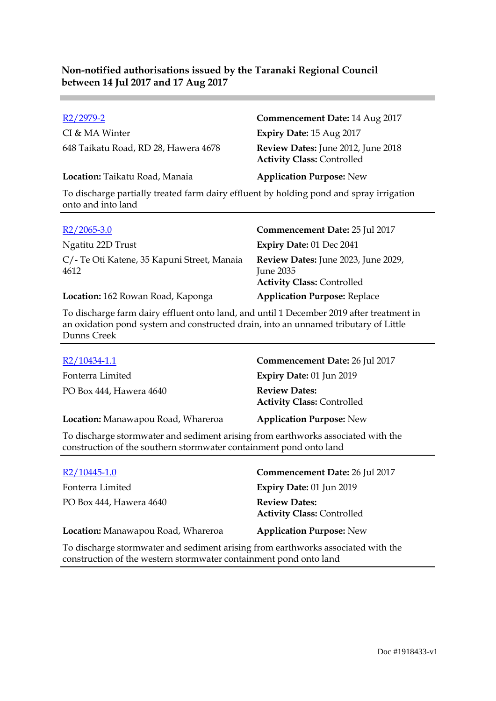CI & MA Winter **Expiry Date:** 15 Aug 2017 648 Taikatu Road, RD 28, Hawera 4678 **Review Dates:** June 2012, June 2018

#### **Location:** Taikatu Road, Manaia **Application Purpose:** New

R2/2979-2 **Commencement Date:** 14 Aug 2017 **Activity Class:** Controlled

To discharge partially treated farm dairy effluent by holding pond and spray irrigation onto and into land

| $R2/2065-3.0$                                       | Commencement Date: 25 Jul 2017                                                        |
|-----------------------------------------------------|---------------------------------------------------------------------------------------|
| Ngatitu 22D Trust                                   | Expiry Date: 01 Dec 2041                                                              |
| C/- Te Oti Katene, 35 Kapuni Street, Manaia<br>4612 | Review Dates: June 2023, June 2029,<br>June 2035<br><b>Activity Class: Controlled</b> |
| Location: 162 Rowan Road, Kaponga                   | <b>Application Purpose: Replace</b>                                                   |

To discharge farm dairy effluent onto land, and until 1 December 2019 after treatment in an oxidation pond system and constructed drain, into an unnamed tributary of Little Dunns Creek

| R2/10434-1.1                       | Commencement Date: 26 Jul 2017                            |
|------------------------------------|-----------------------------------------------------------|
| Fonterra Limited                   | Expiry Date: 01 Jun 2019                                  |
| PO Box 444, Hawera 4640            | <b>Review Dates:</b><br><b>Activity Class: Controlled</b> |
| Location: Manawapou Road, Whareroa | <b>Application Purpose: New</b>                           |

To discharge stormwater and sediment arising from earthworks associated with the construction of the southern stormwater containment pond onto land

| $R2/10445-1.0$                                                                   | Commencement Date: 26 Jul 2017                            |
|----------------------------------------------------------------------------------|-----------------------------------------------------------|
| Fonterra Limited                                                                 | Expiry Date: 01 Jun 2019                                  |
| PO Box 444, Hawera 4640                                                          | <b>Review Dates:</b><br><b>Activity Class: Controlled</b> |
| Location: Manawapou Road, Whareroa                                               | <b>Application Purpose: New</b>                           |
| To discharge stormwater and sediment arising from earthworks associated with the |                                                           |

discharge stormwater and sediment arising from earthworks associated with the construction of the western stormwater containment pond onto land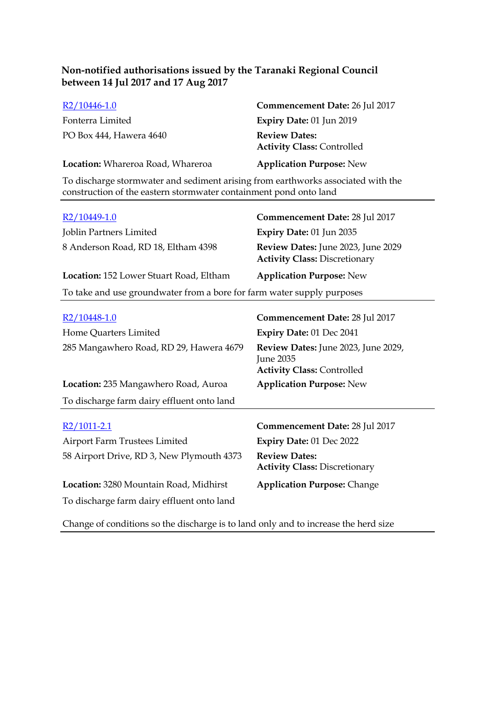| $R2/10446-1.0$                                                                   | Commencement Date: 26 Jul 2017                            |  |
|----------------------------------------------------------------------------------|-----------------------------------------------------------|--|
| Fonterra Limited                                                                 | Expiry Date: 01 Jun 2019                                  |  |
| PO Box 444, Hawera 4640                                                          | <b>Review Dates:</b><br><b>Activity Class: Controlled</b> |  |
| Location: Whareroa Road, Whareroa                                                | <b>Application Purpose: New</b>                           |  |
| To discharge stormwater and sediment arising from earthworks associated with the |                                                           |  |

| construction of the eastern stormwater containment pond onto land |  |  |  |
|-------------------------------------------------------------------|--|--|--|
|-------------------------------------------------------------------|--|--|--|

| R2/10449-1.0                                                           | Commencement Date: 28 Jul 2017                                             |  |
|------------------------------------------------------------------------|----------------------------------------------------------------------------|--|
| Joblin Partners Limited                                                | Expiry Date: 01 Jun 2035                                                   |  |
| 8 Anderson Road, RD 18, Eltham 4398                                    | Review Dates: June 2023, June 2029<br><b>Activity Class: Discretionary</b> |  |
| Location: 152 Lower Stuart Road, Eltham                                | <b>Application Purpose: New</b>                                            |  |
| To take and use groundwater from a bore for farm water supply purposes |                                                                            |  |

| R2/10448-1.0                               | Commencement Date: 28 Jul 2017                                                        |
|--------------------------------------------|---------------------------------------------------------------------------------------|
| Home Quarters Limited                      | Expiry Date: 01 Dec 2041                                                              |
| 285 Mangawhero Road, RD 29, Hawera 4679    | Review Dates: June 2023, June 2029,<br>June 2035<br><b>Activity Class: Controlled</b> |
| Location: 235 Mangawhero Road, Auroa       | <b>Application Purpose: New</b>                                                       |
| To discharge farm dairy effluent onto land |                                                                                       |
|                                            |                                                                                       |
|                                            |                                                                                       |
| R2/1011-2.1                                | Commencement Date: 28 Jul 2017                                                        |
| Airport Farm Trustees Limited              | Expiry Date: 01 Dec 2022                                                              |
| 58 Airport Drive, RD 3, New Plymouth 4373  | <b>Review Dates:</b><br><b>Activity Class: Discretionary</b>                          |
| Location: 3280 Mountain Road, Midhirst     | <b>Application Purpose: Change</b>                                                    |

Change of conditions so the discharge is to land only and to increase the herd size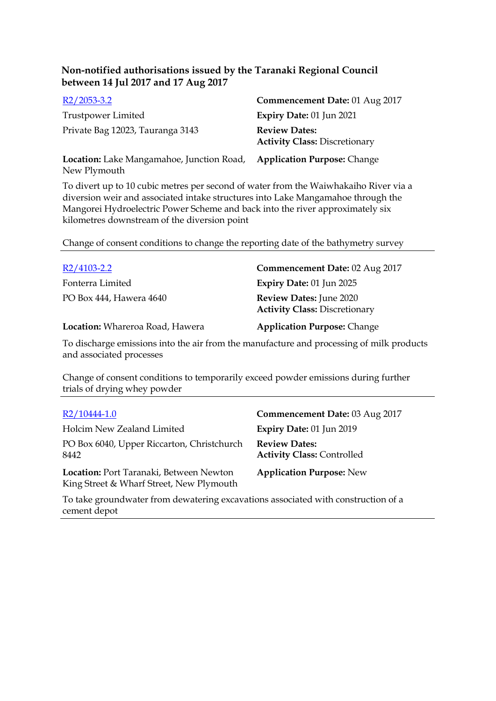| $R2/2053-3.2$                                                    | Commencement Date: 01 Aug 2017                               |
|------------------------------------------------------------------|--------------------------------------------------------------|
| Trustpower Limited                                               | Expiry Date: 01 Jun 2021                                     |
| Private Bag 12023, Tauranga 3143                                 | <b>Review Dates:</b><br><b>Activity Class: Discretionary</b> |
| <b>Location:</b> Lake Mangamahoe, Junction Road,<br>New Plymouth | <b>Application Purpose: Change</b>                           |

To divert up to 10 cubic metres per second of water from the Waiwhakaiho River via a diversion weir and associated intake structures into Lake Mangamahoe through the Mangorei Hydroelectric Power Scheme and back into the river approximately six kilometres downstream of the diversion point

Change of consent conditions to change the reporting date of the bathymetry survey

| $R2/4103 - 2.2$                 | Commencement Date: 02 Aug 2017                                         |
|---------------------------------|------------------------------------------------------------------------|
| Fonterra Limited                | <b>Expiry Date: 01 Jun 2025</b>                                        |
| PO Box 444, Hawera 4640         | <b>Review Dates: June 2020</b><br><b>Activity Class: Discretionary</b> |
| Location: Whareroa Road, Hawera | <b>Application Purpose: Change</b>                                     |

To discharge emissions into the air from the manufacture and processing of milk products and associated processes

Change of consent conditions to temporarily exceed powder emissions during further trials of drying whey powder

| R2/10444-1.0                                                                        | Commencement Date: 03 Aug 2017                            |
|-------------------------------------------------------------------------------------|-----------------------------------------------------------|
| Holcim New Zealand Limited                                                          | Expiry Date: 01 Jun 2019                                  |
| PO Box 6040, Upper Riccarton, Christchurch<br>8442                                  | <b>Review Dates:</b><br><b>Activity Class: Controlled</b> |
| Location: Port Taranaki, Between Newton<br>King Street & Wharf Street, New Plymouth | <b>Application Purpose: New</b>                           |

To take groundwater from dewatering excavations associated with construction of a cement depot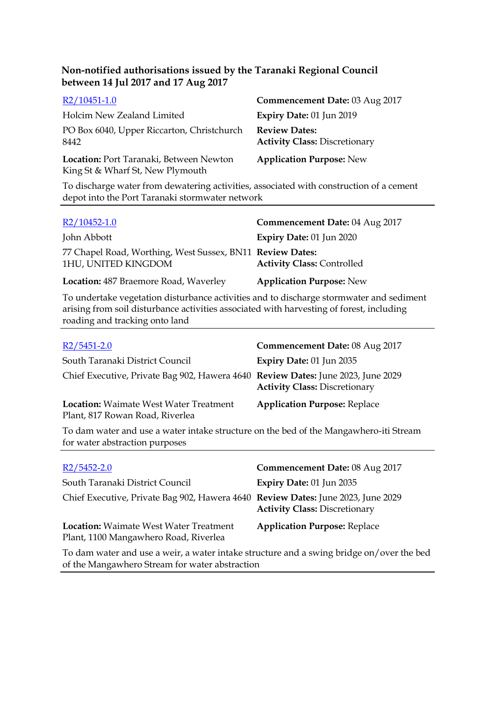| R2/10451-1.0                                                                | Commencement Date: 03 Aug 2017                               |
|-----------------------------------------------------------------------------|--------------------------------------------------------------|
| Holcim New Zealand Limited                                                  | Expiry Date: 01 Jun 2019                                     |
| PO Box 6040, Upper Riccarton, Christchurch<br>8442                          | <b>Review Dates:</b><br><b>Activity Class: Discretionary</b> |
| Location: Port Taranaki, Between Newton<br>King St & Wharf St, New Plymouth | <b>Application Purpose: New</b>                              |

To discharge water from dewatering activities, associated with construction of a cement depot into the Port Taranaki stormwater network

| $R2/10452-1.0$                                                                   | Commencement Date: 04 Aug 2017    |
|----------------------------------------------------------------------------------|-----------------------------------|
| John Abbott                                                                      | Expiry Date: 01 Jun 2020          |
| 77 Chapel Road, Worthing, West Sussex, BN11 Review Dates:<br>1HU, UNITED KINGDOM | <b>Activity Class: Controlled</b> |
| Location: 487 Braemore Road, Waverley                                            | <b>Application Purpose: New</b>   |

To undertake vegetation disturbance activities and to discharge stormwater and sediment arising from soil disturbance activities associated with harvesting of forest, including roading and tracking onto land

| $R2/5451-2.0$                                                                                    | Commencement Date: 08 Aug 2017       |
|--------------------------------------------------------------------------------------------------|--------------------------------------|
| South Taranaki District Council                                                                  | Expiry Date: 01 Jun 2035             |
| Chief Executive, Private Bag 902, Hawera 4640 Review Dates: June 2023, June 2029                 | <b>Activity Class: Discretionary</b> |
| <b>Location:</b> Waimate West Water Treatment<br>Plant, 817 Rowan Road, Riverlea                 | <b>Application Purpose: Replace</b>  |
| To days wester and was a wester intellectual structure on the head of the Managemberg it: Ctream |                                      |

To dam water and use a water intake structure on the bed of the Mangawhero-iti Stream for water abstraction purposes

| $R2/5452-2.0$                                                                          | Commencement Date: 08 Aug 2017       |
|----------------------------------------------------------------------------------------|--------------------------------------|
| South Taranaki District Council                                                        | Expiry Date: 01 Jun 2035             |
| Chief Executive, Private Bag 902, Hawera 4640 Review Dates: June 2023, June 2029       | <b>Activity Class: Discretionary</b> |
| <b>Location:</b> Waimate West Water Treatment<br>Plant, 1100 Mangawhero Road, Riverlea | <b>Application Purpose: Replace</b>  |
|                                                                                        |                                      |

To dam water and use a weir, a water intake structure and a swing bridge on/over the bed of the Mangawhero Stream for water abstraction